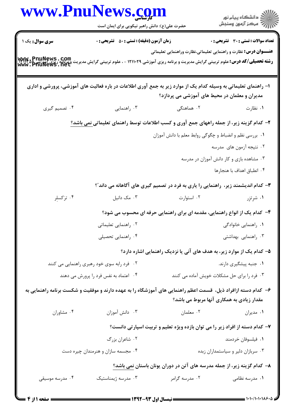|                                            | www.PnuNews.com                                                                                                                                                             |                                                                                    |                                              |
|--------------------------------------------|-----------------------------------------------------------------------------------------------------------------------------------------------------------------------------|------------------------------------------------------------------------------------|----------------------------------------------|
|                                            | حضرت علی(ع): دانش راهبر نیکویی برای ایمان است                                                                                                                               |                                                                                    |                                              |
| سری سوال: یک ۱                             | <b>زمان آزمون (دقیقه) : تستی : 50 ٪ تشریحی : 0</b>                                                                                                                          |                                                                                    | <b>تعداد سوالات : تستی : 30 ٪ تشریحی : 0</b> |
|                                            | <b>رشته تحصیلی/کد درس: ع</b> لوم تربیتی گرایش مدیریت و برنامه ریزی آموزشی ۱۲۱۱۰۲۹ - ، علوم تربیتی گرایش مدیریت و برنامه<br><b>http://www.phuNews.net</b><br>www.phuNews.net | <b>عنـــوان درس:</b> نظارت و راهنمایی تعلیماتی،نظارت وراهنمایی تعلیماتی            |                                              |
|                                            | ا– راهنمای تعلیماتی به وسیله کدام یک از موارد زیر به جمع آوری اطلاعات در باره فعالیت های آموزشی، پرورشی و اداری                                                             | مدیران و معلمان در محیط های آموزشی می پردازد؟                                      |                                              |
| ۰۴ تصمیم گیری                              | ۰۳ راهنمایی                                                                                                                                                                 | ۲. هماهنگی                                                                         | ۰۱ نظارت                                     |
|                                            | ۲- کدام گزینه زیر، از جمله راههای جمع آوری و کسب اطلاعات توسط راهنمای تعلیمات <u>ی نمی باشد؟</u>                                                                            |                                                                                    |                                              |
|                                            |                                                                                                                                                                             | ٠١. بررسي نظم و انضباط و چگوگي روابط معلم با دانش آموزان                           |                                              |
|                                            |                                                                                                                                                                             |                                                                                    | ۰۲ نتیجه آزمون های مدرسه                     |
|                                            |                                                                                                                                                                             |                                                                                    | ۰۳ مشاهده بازی و کار دانش آموزان در مدرسه    |
|                                            |                                                                                                                                                                             |                                                                                    | ۰۴ انطباق اهداف با هنجارها                   |
|                                            |                                                                                                                                                                             | ۳- کدام اندیشمند زیر، راهنمایی را یاری به فرد در تصمیم گیری های آگاهانه می داند ؒ؟ |                                              |
| ۰۴ ترکسلر                                  | ۰۳ مک دانیل                                                                                                                                                                 | ٠٢ استوارت                                                                         | ۰۱ شږتږر                                     |
|                                            |                                                                                                                                                                             | ۴– کدام یک از انواع راهنمایی، مقدمه ای برای راهنمایی حرفه ای محسوب می شود؟         |                                              |
|                                            | ۰۲ راهنمایی تعلیماتی                                                                                                                                                        | ۰۱ راهنمایی خانوادگی                                                               |                                              |
|                                            | ۰۴ راهنمایی تحصیلی                                                                                                                                                          |                                                                                    | ۰۳ راهنمایی بهداشتی                          |
|                                            |                                                                                                                                                                             | ۵- کدام یک از موارد زیر، به هدف های آنی یا نزدیک راهنمایی اشاره دارد؟              |                                              |
| ۰۲ فرد رابه سوی خود رهبری راهنمایی می کنند |                                                                                                                                                                             |                                                                                    | ۰۱ جنبه پیشگیری دارند.                       |
|                                            | ۰۴ اعتماد به نفس فرد را پرورش می دهند                                                                                                                                       | ۰۳ فرد را برای حل مشکلات خویش آماده می کنند                                        |                                              |
|                                            | ۶– کدام دسته ازافراد ذیل،  قسمت اعظم راهنمایی های آموزشگاه را به عهده دارند و موفقیت و شکست برنامه راهنمایی به                                                              | مقدار زیادی به همکاری آنها مربوط می باشد؟                                          |                                              |
| ۰۴ مشاوران                                 | ۰۳ دانش آموزان                                                                                                                                                              | ۰۲ معلمان                                                                          | ۰۱ مدیران                                    |
|                                            |                                                                                                                                                                             | ۷– کدام دسته از افراد زیر را می توان بازده ویژه تعلیم و تربیت اسپارتی دانست؟       |                                              |
|                                            | ۰۲ شاعران بزرگ                                                                                                                                                              |                                                                                    | ٠١ فيلسوفان خردمند                           |
|                                            | ۰۴ مجسمه سازان و هنرمندان چیره دست                                                                                                                                          |                                                                                    | ۰۳ سربازان دلیر و سیاستمداران زبده           |
|                                            |                                                                                                                                                                             | ۸– کدام گزینه زیر، از جمله مدرسه های آتن در دوران یونان باستان نمی باشد؟           |                                              |
| ۰۴ مدرسه موسیقی                            | ۰۳ مدرسه ژیمناستیک                                                                                                                                                          | ۰۲ مدرسه گرامر                                                                     | ۰۱ مدرسه نظامی                               |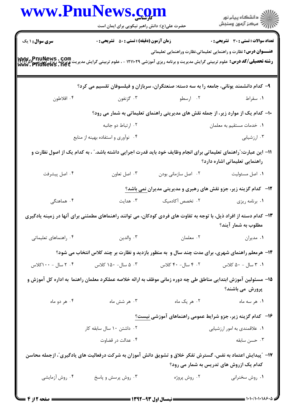| حضرت علی(ع): دانش راهبر نیکویی برای ایمان است |                     | )<br>است دانشگاه پيام نور<br>است درکز آزمون وسنڊش                                                                                                                                                                                                                                                                                                                                                                                                                                                                                                                                                                                                                                                                                                                                                                                                                                                                                                                                                                                                                                                                                                   |
|-----------------------------------------------|---------------------|-----------------------------------------------------------------------------------------------------------------------------------------------------------------------------------------------------------------------------------------------------------------------------------------------------------------------------------------------------------------------------------------------------------------------------------------------------------------------------------------------------------------------------------------------------------------------------------------------------------------------------------------------------------------------------------------------------------------------------------------------------------------------------------------------------------------------------------------------------------------------------------------------------------------------------------------------------------------------------------------------------------------------------------------------------------------------------------------------------------------------------------------------------|
|                                               |                     |                                                                                                                                                                                                                                                                                                                                                                                                                                                                                                                                                                                                                                                                                                                                                                                                                                                                                                                                                                                                                                                                                                                                                     |
| زمان آزمون (دقیقه) : تستی : 50 ٪ تشریحی : 0   |                     | تعداد سوالات : تستي : 30 - تشريحي : 0                                                                                                                                                                                                                                                                                                                                                                                                                                                                                                                                                                                                                                                                                                                                                                                                                                                                                                                                                                                                                                                                                                               |
|                                               |                     | <b>عنـــوان درس:</b> نظارت و راهنمایی تعلیماتی،نظارت وراهنمایی تعلیماتی                                                                                                                                                                                                                                                                                                                                                                                                                                                                                                                                                                                                                                                                                                                                                                                                                                                                                                                                                                                                                                                                             |
|                                               |                     |                                                                                                                                                                                                                                                                                                                                                                                                                                                                                                                                                                                                                                                                                                                                                                                                                                                                                                                                                                                                                                                                                                                                                     |
| ۰۳ گزنفون                                     |                     | ۰۱ سقراط                                                                                                                                                                                                                                                                                                                                                                                                                                                                                                                                                                                                                                                                                                                                                                                                                                                                                                                                                                                                                                                                                                                                            |
|                                               |                     |                                                                                                                                                                                                                                                                                                                                                                                                                                                                                                                                                                                                                                                                                                                                                                                                                                                                                                                                                                                                                                                                                                                                                     |
| ۰۲ ارتباط دو جانبه                            |                     | ٠١ خدمات مستقيم به معلمان                                                                                                                                                                                                                                                                                                                                                                                                                                                                                                                                                                                                                                                                                                                                                                                                                                                                                                                                                                                                                                                                                                                           |
| ۰۴ نوآوری و استفاده بهینه از منابع            |                     | ۰۳ ارزشیابی                                                                                                                                                                                                                                                                                                                                                                                                                                                                                                                                                                                                                                                                                                                                                                                                                                                                                                                                                                                                                                                                                                                                         |
|                                               |                     | راهنمایی تعلیماتی اشاره دارد؟                                                                                                                                                                                                                                                                                                                                                                                                                                                                                                                                                                                                                                                                                                                                                                                                                                                                                                                                                                                                                                                                                                                       |
| ۰۳ اصل تعاون                                  | ٠٢ اصل سازماني بودن | ٠١. اصل مسئوليت                                                                                                                                                                                                                                                                                                                                                                                                                                                                                                                                                                                                                                                                                                                                                                                                                                                                                                                                                                                                                                                                                                                                     |
|                                               |                     |                                                                                                                                                                                                                                                                                                                                                                                                                                                                                                                                                                                                                                                                                                                                                                                                                                                                                                                                                                                                                                                                                                                                                     |
|                                               |                     | ۰۱ برنامه ریزی                                                                                                                                                                                                                                                                                                                                                                                                                                                                                                                                                                                                                                                                                                                                                                                                                                                                                                                                                                                                                                                                                                                                      |
|                                               |                     | مطلوب به شمار آیند؟                                                                                                                                                                                                                                                                                                                                                                                                                                                                                                                                                                                                                                                                                                                                                                                                                                                                                                                                                                                                                                                                                                                                 |
| ۰۳ والدين                                     | ۰۲ معلمان           | ٠١ مديران                                                                                                                                                                                                                                                                                                                                                                                                                                                                                                                                                                                                                                                                                                                                                                                                                                                                                                                                                                                                                                                                                                                                           |
|                                               |                     |                                                                                                                                                                                                                                                                                                                                                                                                                                                                                                                                                                                                                                                                                                                                                                                                                                                                                                                                                                                                                                                                                                                                                     |
| ۰۳ ه سال- ۱۵۰ کلاس                            | ۰۲ سال- ۴۰ کلاس     | ۰۱ ۳ سال - ۵۰ کلاس                                                                                                                                                                                                                                                                                                                                                                                                                                                                                                                                                                                                                                                                                                                                                                                                                                                                                                                                                                                                                                                                                                                                  |
|                                               |                     | پرورش می باشند؟                                                                                                                                                                                                                                                                                                                                                                                                                                                                                                                                                                                                                                                                                                                                                                                                                                                                                                                                                                                                                                                                                                                                     |
| ۰۳ هر شش ماه                                  | ۰۲ هر یک ماه        | ۰۱ هر سه ماه                                                                                                                                                                                                                                                                                                                                                                                                                                                                                                                                                                                                                                                                                                                                                                                                                                                                                                                                                                                                                                                                                                                                        |
|                                               |                     |                                                                                                                                                                                                                                                                                                                                                                                                                                                                                                                                                                                                                                                                                                                                                                                                                                                                                                                                                                                                                                                                                                                                                     |
| ۰۲ داشتن ۱۰ سال سابقه کار                     |                     | ۰۱ علاقمندي به امور ارزشيابي                                                                                                                                                                                                                                                                                                                                                                                                                                                                                                                                                                                                                                                                                                                                                                                                                                                                                                                                                                                                                                                                                                                        |
| ۰۴ عدالت در قضاوت                             |                     | ۰۳ حسن سابقه                                                                                                                                                                                                                                                                                                                                                                                                                                                                                                                                                                                                                                                                                                                                                                                                                                                                                                                                                                                                                                                                                                                                        |
|                                               |                     | کدام یک ازروش های تدریس به شمار می رود؟                                                                                                                                                                                                                                                                                                                                                                                                                                                                                                                                                                                                                                                                                                                                                                                                                                                                                                                                                                                                                                                                                                             |
| ۰۳ روش پرسش و پاسخ                            | ۰۲ روش پروژه        | ۰۱ روش سخنرانی                                                                                                                                                                                                                                                                                                                                                                                                                                                                                                                                                                                                                                                                                                                                                                                                                                                                                                                                                                                                                                                                                                                                      |
|                                               |                     | <b>رشته تحصیلی/کد درس:</b> علوم تربیتی گرایش مدیریت و برنامه ریزی آموزشی ۱۲۱۱۰۲۹ - ، علوم تربیتی گرایش مدیریت و برنامه<br><b>MWW . PhuNeWS . Net</b><br>WWW . PhuNeWS . Net<br>۹– کدام دانشمند یونانی، جامعه را به سه دسته: صنعتگران، سربازان و فیلسوفان تقسیم می کرد؟<br>۰۲ ارسطو<br>∙ا− کدام یک از موارد زیر، از جمله نقش های مدیریتی راهنمای تعلیماتی به شمار می رود؟<br>11– این عبارت: ّراهنمای تعلیماتی برای انجام وظایف خود باید قدرت اجرایی داشته باشد. ّ ، به کدام یک از اصول نظارت و<br><b>۱۲</b> - کدام گزینه زیر، جزو نقش های رهبری و مدیریتی مدیرا <u>ن نمی</u> باشد؟<br>۲. تخصص آکادمیک $\cdot$ ۳. هدایت<br>۱۳– کدام دسته از افراد ذیل، با توجه به تفاوت های فردی کودکان، می توانند راهنماهای مطمئنی برای آنها در زمینه یادگیری<br>۱۴- هرمعلم راهنمای شهری، برای مدت چند سال و به منظور بازدید و نظارت بر چند کلاس انتخاب می شود؟<br>۱۵– مسئولین آموزش ابتدایی مناطق طی چه دوره زمانی موظف به ارائه خلاصه عملکرد معلمان راهنما  به اداره کل آموزش و<br>۱۶– کدام گزینه زیر، جزو شرایط عمومی راهنماهای آموزشی <u>نیست؟</u><br>۱۷– ″پیدایش اعتماد به نفس، گسترش تفکر خلاق و تشویق دانش آموزان به شرکت درفعالیت های یادگیری″، ازجمله محاسن |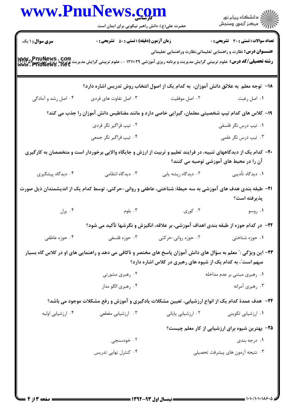|                        | www.PnuNews.com<br>حضرت علی(ع): دانش راهبر نیکویی برای ایمان است                                                                                                                                                                |                                                                                               | الان دانشگاه پيام نور<br>الان مرکز آزمون وسنجش                                                                           |
|------------------------|---------------------------------------------------------------------------------------------------------------------------------------------------------------------------------------------------------------------------------|-----------------------------------------------------------------------------------------------|--------------------------------------------------------------------------------------------------------------------------|
| <b>سری سوال : ۱ یک</b> | <b>زمان آزمون (دقیقه) : تستی : 50 ٪ تشریحی : 0</b><br><b>رشته تحصیلی/کد درس:</b> علوم تربیتی گرایش مدیریت و برنامه ریزی آموزشی ۱۲۱۱۰۲۹ - ، علوم تربیتی گرایش مدیریت و برنامه ریزی AMW هرا<br>WWW . PhuNews . net                |                                                                                               | <b>تعداد سوالات : تستی : 30 ٪ تشریحی : 0</b><br><b>عنــــوان درس:</b> نظارت و راهنمایی تعلیماتی،نظارت وراهنمایی تعلیماتی |
|                        | ۱۸−۔ توجه معلم به علائق دانش آموزان، به کدام یک از اصول انتخاب روش تدریس اشاره دارد؟                                                                                                                                            |                                                                                               |                                                                                                                          |
| ۰۴ اصل رشد و آمادگی    | ۰۳ اصل تفاوت های فردی                                                                                                                                                                                                           | ۰۲ اصل موفقیت                                                                                 | ۰۱ اصل رغبت                                                                                                              |
|                        | ۱۹- کلاس های کدام تیپ شخصیتی معلمان، گیرایی خاصی دارد و مانند مغناطیس دانش آموزان را جذب می کند؟                                                                                                                                |                                                                                               |                                                                                                                          |
|                        | ۰۲ تیپ فراگیر نگر فردی                                                                                                                                                                                                          |                                                                                               | ۰۱ تیپ درس نگر فلسفی                                                                                                     |
|                        | ۰۴ تیپ فراگیر نگر جمعی                                                                                                                                                                                                          |                                                                                               | ۰۳ تيپ درس نگر علمي                                                                                                      |
|                        | +۲- کدام یک از دیدگاههای تنبیه، در فرایند تعلیم و تربیت از ارزش و جایگاه والایی برخوردار است و متخصصان به کارگیری                                                                                                               |                                                                                               | آن را در محیط های آموزشی توصیه می کنند؟                                                                                  |
| ۰۴ دیدگاه پیشگیری      | ۰۳ دیدگاه انتقامی                                                                                                                                                                                                               | ۰۲ دیدگاه ریشه یابی                                                                           | ۰۱ دیدگاه تأدیبی                                                                                                         |
|                        | <b>۳۱</b> – طبقه بندی هدف های آموزشی به سه حیطهٔ: شناختی، عاطفی و روانی–حرکتی، توسط کدام یک از اندیشمندان ذیل صورت                                                                                                              |                                                                                               | پذیرفته است؟                                                                                                             |
|                        | . ابلوم الله عليه الله عليه الله عليه الله عليه الله عليه الله عليه الله عليه الله عليه الله عليه الله عليه ال<br>الله عليه الله عليه الله عليه الله عليه الله عليه الله عليه الله عليه الله عليه الله عليه الله عليه الله عليه | ۰۲ کوری                                                                                       | ۰۱ روسو                                                                                                                  |
|                        |                                                                                                                                                                                                                                 | <b>۲۲</b> –   در کدام حوزه از طبقه بندی اهداف آموزشی، بر علاقه، انگیزش و نگرشها تأکید می شود؟ |                                                                                                                          |
| ۰۴ حوزه عاطفی          | ۰۳ حوزه فلسفی                                                                                                                                                                                                                   | ۰۲ حوزه روانی-حرکتی                                                                           | ۰۱ حوزه شناختی                                                                                                           |
|                        | ۲۳– این ویژگی :" معلم به سؤال های دانش آموزان پاسخ های مختصر و ناکافی می دهد و راهنمایی های او در کلاس گاه بسیار                                                                                                                | مبهم است"، به کدام یک از شیوه های رهبری در کلاس اشاره دارد؟                                   |                                                                                                                          |
|                        | ۰۲ رهبری مشورتی                                                                                                                                                                                                                 |                                                                                               | ۰۱ رهبری مبتنی بر عدم مداخله                                                                                             |
|                        | ۰۴ رهبري الگو مدار                                                                                                                                                                                                              |                                                                                               | ۰۳ رهبري أمرانه                                                                                                          |
|                        | <b>۲۴</b> - هدف عمدهٔ کدام یک از انواع ارزشیابی، تعیین مشکلات یادگیری و آموزش و رفع مشکلات موجود می باشد؟                                                                                                                       |                                                                                               |                                                                                                                          |
| ۰۴ ارزشیابی اولیه      | ۰۳ ارزشیابی مقطعی                                                                                                                                                                                                               | ۰۲ ارزشیابی پایانی                                                                            | ۰۱ ارزشیابی تکوینی                                                                                                       |
|                        |                                                                                                                                                                                                                                 |                                                                                               | ۲۵– بهترین شیوه برای ارزشیابی از کار معلم چیست؟                                                                          |
|                        | ۰۲ خودسنجی                                                                                                                                                                                                                      |                                                                                               | ۰۱ درجه بندی                                                                                                             |
|                        | ۰۴ کنترل نهایی تدریس                                                                                                                                                                                                            |                                                                                               | ۰۳ نتیجه آزمون های پیشرفت تحصیلی                                                                                         |
|                        |                                                                                                                                                                                                                                 |                                                                                               |                                                                                                                          |
|                        |                                                                                                                                                                                                                                 |                                                                                               |                                                                                                                          |